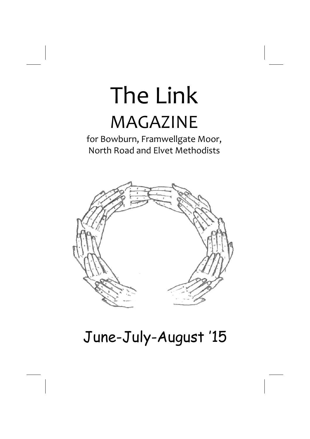# The Link MAGAZINE

for Bowburn, Framwellgate Moor, North Road and Elvet Methodists



## June-July-August '15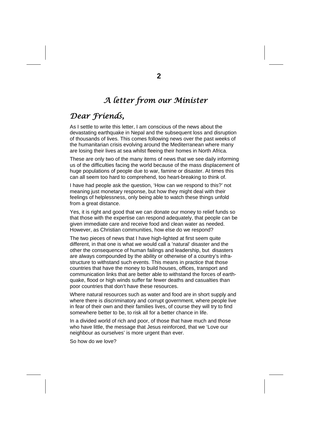## *A letter from our Minister*

## *Dear Friends,*

As I settle to write this letter, I am conscious of the news about the devastating earthquake in Nepal and the subsequent loss and disruption of thousands of lives. This comes following news over the past weeks of the humanitarian crisis evolving around the Mediterranean where many are losing their lives at sea whilst fleeing their homes in North Africa.

These are only two of the many items of news that we see daily informing us of the difficulties facing the world because of the mass displacement of huge populations of people due to war, famine or disaster. At times this can all seem too hard to comprehend, too heart-breaking to think of.

I have had people ask the question, 'How can we respond to this?' not meaning just monetary response, but how they might deal with their feelings of helplessness, only being able to watch these things unfold from a great distance.

Yes, it is right and good that we can donate our money to relief funds so that those with the expertise can respond adequately, that people can be given immediate care and receive food and clean water as needed. However, as Christian communities, how else do we respond?

The two pieces of news that I have high-lighted at first seem quite different, in that one is what we would call a 'natural' disaster and the other the consequence of human failings and leadership, but disasters are always compounded by the ability or otherwise of a country's infrastructure to withstand such events. This means in practice that those countries that have the money to build houses, offices, transport and communication links that are better able to withstand the forces of earthquake, flood or high winds suffer far fewer deaths and casualties than poor countries that don't have these resources.

Where natural resources such as water and food are in short supply and where there is discriminatory and corrupt government, where people live in fear of their own and their families lives, of course they will try to find somewhere better to be, to risk all for a better chance in life.

In a divided world of rich and poor, of those that have much and those who have little, the message that Jesus reinforced, that we 'Love our neighbour as ourselves' is more urgent than ever.

So how do we love?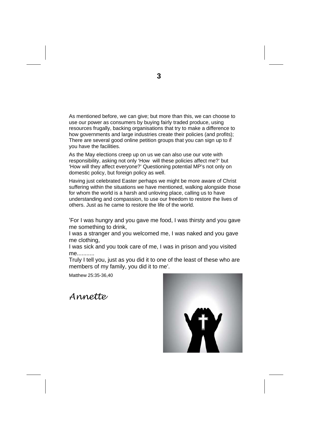As mentioned before, we can give; but more than this, we can choose to use our power as consumers by buying fairly traded produce, using resources frugally, backing organisations that try to make a difference to how governments and large industries create their policies (and profits); There are several good online petition groups that you can sign up to if you have the facilities.

As the May elections creep up on us we can also use our vote with responsibility, asking not only 'How will these policies affect me?' but 'How will they affect everyone?' Questioning potential MP's not only on domestic policy, but foreign policy as well.

Having just celebrated Easter perhaps we might be more aware of Christ suffering within the situations we have mentioned, walking alongside those for whom the world is a harsh and unloving place, calling us to have understanding and compassion, to use our freedom to restore the lives of others. Just as he came to restore the life of the world.

'For I was hungry and you gave me food, I was thirsty and you gave me something to drink,

I was a stranger and you welcomed me, I was naked and you gave me clothing,

I was sick and you took care of me, I was in prison and you visited me...........

Truly I tell you, just as you did it to one of the least of these who are members of my family, you did it to me'.

Matthew 25:35-36,40

*Annette* 

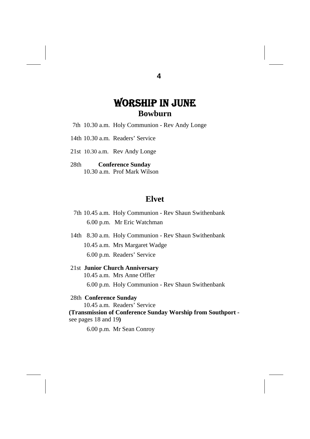## WORSHIP IN JUNE **Bowburn**

- 7th 10.30 a.m. Holy Communion Rev Andy Longe
- 14th 10.30 a.m. Readers' Service
- 21st 10.30 a.m. Rev Andy Longe
- 28th **Conference Sunday**  10.30 a.m. Prof Mark Wilson

#### **Elvet**

- 7th 10.45 a.m. Holy Communion Rev Shaun Swithenbank 6.00 p.m. Mr Eric Watchman
- 14th 8.30 a.m. Holy Communion Rev Shaun Swithenbank 10.45 a.m. Mrs Margaret Wadge 6.00 p.m. Readers' Service

#### 21st **Junior Church Anniversary**

- 10.45 a.m. Mrs Anne Offler
	- 6.00 p.m. Holy Communion Rev Shaun Swithenbank

#### 28th **Conference Sunday**

10.45 a.m. Readers' Service

**(Transmission of Conference Sunday Worship from Southport**  see pages 18 and 19**)** 

6.00 p.m. Mr Sean Conroy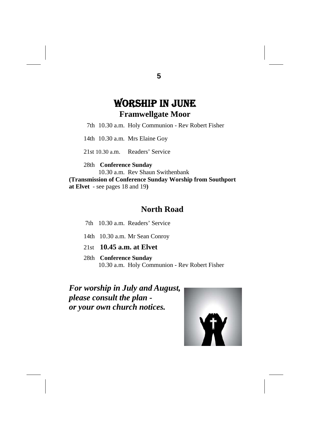## WORSHIP IN JUNE **Framwellgate Moor**

7th 10.30 a.m. Holy Communion - Rev Robert Fisher

14th 10.30 a.m. Mrs Elaine Goy

21st 10.30 a.m. Readers' Service

28th **Conference Sunday** 10.30 a.m. Rev Shaun Swithenbank **(Transmission of Conference Sunday Worship from Southport at Elvet** - see pages 18 and 19**)** 

## **North Road**

7th 10.30 a.m. Readers' Service

- 14th 10.30 a.m. Mr Sean Conroy
- 21st **10.45 a.m. at Elvet**
- 28th **Conference Sunday** 10.30 a.m. Holy Communion - Rev Robert Fisher

*For worship in July and August, please consult the plan or your own church notices.* 

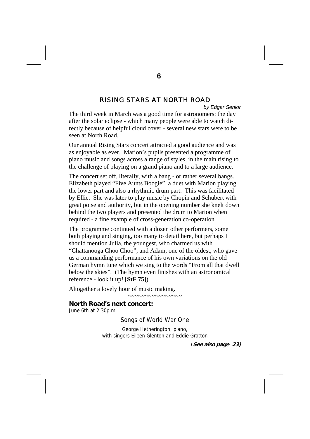#### *RISING STARS AT NORTH ROAD*

*by Edgar Senior* 

The third week in March was a good time for astronomers: the day after the solar eclipse - which many people were able to watch directly because of helpful cloud cover - several new stars were to be seen at North Road.

Our annual Rising Stars concert attracted a good audience and was as enjoyable as ever. Marion's pupils presented a programme of piano music and songs across a range of styles, in the main rising to the challenge of playing on a grand piano and to a large audience.

The concert set off, literally, with a bang - or rather several bangs. Elizabeth played "Five Aunts Boogie", a duet with Marion playing the lower part and also a rhythmic drum part. This was facilitated by Ellie. She was later to play music by Chopin and Schubert with great poise and authority, but in the opening number she knelt down behind the two players and presented the drum to Marion when required - a fine example of cross-generation co-operation.

The programme continued with a dozen other performers, some both playing and singing, too many to detail here, but perhaps I should mention Julia, the youngest, who charmed us with "Chattanooga Choo Choo"; and Adam, one of the oldest, who gave us a commanding performance of his own variations on the old German hymn tune which we sing to the words "From all that dwell below the skies". (The hymn even finishes with an astronomical reference - look it up! [**StF 75**])

Altogether a lovely hour of music making.

#### **North Road's next concert:**

June 6th at 2.30p.m.

Songs of World War One

~~~~~~~~~~~~~~~~

George Hetherington, piano, with singers Eileen Glenton and Eddie Gratton

(**See also page 23)**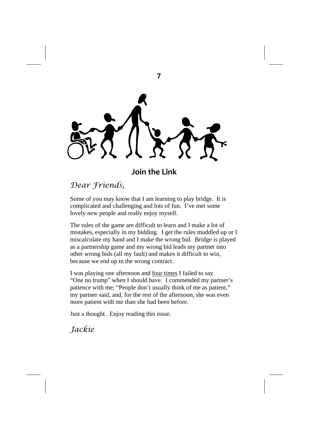**7** 

## **Join the Link**

## *Dear Friends,*

Some of you may know that I am learning to play bridge. It is complicated and challenging and lots of fun. I've met some lovely new people and really enjoy myself.

The rules of the game are difficult to learn and I make a lot of mistakes, especially in my bidding. I get the rules muddled up or I miscalculate my hand and I make the wrong bid. Bridge is played as a partnership game and my wrong bid leads my partner into other wrong bids (all my fault) and makes it difficult to win, because we end up in the wrong contract.

I was playing one afternoon and four times I failed to say "One no trump" when I should have. I commended my partner's patience with me; "People don't usually think of me as patient," my partner said, and, for the rest of the afternoon, she was even more patient with me than she had been before.

Just a thought. Enjoy reading this issue.

*Jackie*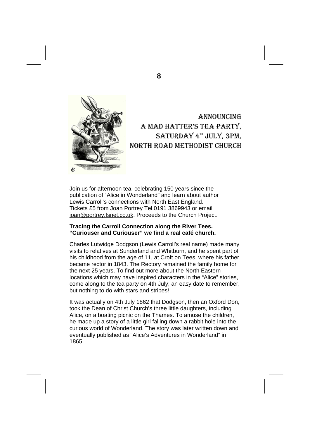

## ANNOUNCING A MAD HATTER'S TEA PARTY, SATURDAY 4TH JULY, 3PM, NORTH ROAD METHODIST CHURCH

Join us for afternoon tea, celebrating 150 years since the publication of "Alice in Wonderland" and learn about author Lewis Carroll's connections with North East England. Tickets £5 from Joan Portrey Tel.0191 3869943 or email joan@portrey.fsnet.co.uk. Proceeds to the Church Project.

#### **Tracing the Carroll Connection along the River Tees. "Curiouser and Curiouser" we find a real café church.**

Charles Lutwidge Dodgson (Lewis Carroll's real name) made many visits to relatives at Sunderland and Whitburn, and he spent part of his childhood from the age of 11, at Croft on Tees, where his father became rector in 1843. The Rectory remained the family home for the next 25 years. To find out more about the North Eastern locations which may have inspired characters in the "Alice" stories, come along to the tea party on 4th July; an easy date to remember, but nothing to do with stars and stripes!

It was actually on 4th July 1862 that Dodgson, then an Oxford Don, took the Dean of Christ Church's three little daughters, including Alice, on a boating picnic on the Thames. To amuse the children, he made up a story of a little girl falling down a rabbit hole into the curious world of Wonderland. The story was later written down and eventually published as "Alice's Adventures in Wonderland" in 1865.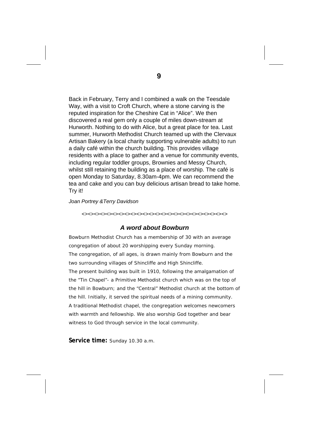Back in February, Terry and I combined a walk on the Teesdale Way, with a visit to Croft Church, where a stone carving is the reputed inspiration for the Cheshire Cat in "Alice". We then discovered a real gem only a couple of miles down-stream at Hurworth. Nothing to do with Alice, but a great place for tea. Last summer, Hurworth Methodist Church teamed up with the Clervaux Artisan Bakery (a local charity supporting vulnerable adults) to run a daily café within the church building. This provides village residents with a place to gather and a venue for community events, including regular toddler groups, Brownies and Messy Church, whilst still retaining the building as a place of worship. The café is open Monday to Saturday, 8.30am-4pm. We can recommend the tea and cake and you can buy delicious artisan bread to take home. Try it!

#### *Joan Portrey &Terry Davidson*

*<><><><><><><><><><><><><><><><><><><><><><><><>* 

#### *A word about Bowburn*

Bowburn Methodist Church has a membership of 30 with an average congregation of about 20 worshipping every Sunday morning. The congregation, of all ages, is drawn mainly from Bowburn and the two surrounding villages of Shincliffe and High Shincliffe.

The present building was built in 1910, following the amalgamation of the "Tin Chapel"- a Primitive Methodist church which was on the top of the hill in Bowburn; and the "Central" Methodist church at the bottom of the hill. Initially, it served the spiritual needs of a mining community. A traditional Methodist chapel, the congregation welcomes newcomers with warmth and fellowship. We also worship God together and bear witness to God through service in the local community.

**Service time:** Sunday 10.30 a.m.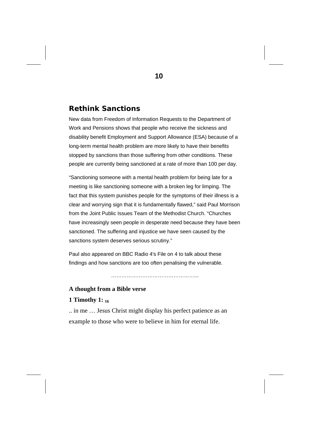#### **Rethink Sanctions**

New data from Freedom of Information Requests to the Department of Work and Pensions shows that people who receive the sickness and disability benefit Employment and Support Allowance (ESA) because of a long-term mental health problem are more likely to have their benefits stopped by sanctions than those suffering from other conditions. These people are currently being sanctioned at a rate of more than 100 per day.

"Sanctioning someone with a mental health problem for being late for a meeting is like sanctioning someone with a broken leg for limping. The fact that this system punishes people for the symptoms of their illness is a clear and worrying sign that it is fundamentally flawed," said Paul Morrison from the Joint Public Issues Team of the Methodist Church. "Churches have increasingly seen people in desperate need because they have been sanctioned. The suffering and injustice we have seen caused by the sanctions system deserves serious scrutiny."

Paul also appeared on BBC Radio 4's File on 4 to talk about these findings and how sanctions are too often penalising the vulnerable.

…………………………………………...

#### **A thought from a Bible verse**

#### **1 Timothy 1: 16**

.. in me … Jesus Christ might display his perfect patience as an example to those who were to believe in him for eternal life.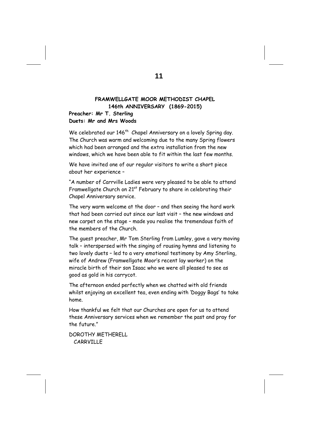#### **FRAMWELLGATE MOOR METHODIST CHAPEL 146th ANNIVERSARY (1869-2015)**

#### **Preacher: Mr T. Sterling Duets: Mr and Mrs Woods**

We celebrated our 146<sup>th</sup> Chapel Anniversary on a lovely Spring day. The Church was warm and welcoming due to the many Spring flowers which had been arranged and the extra installation from the new windows, which we have been able to fit within the last few months.

We have invited one of our regular visitors to write a short piece about her experience –

"A number of Carrville Ladies were very pleased to be able to attend Framwellgate Church on  $21<sup>st</sup>$  February to share in celebrating their Chapel Anniversary service.

The very warm welcome at the door – and then seeing the hard work that had been carried out since our last visit – the new windows and new carpet on the stage – made you realise the tremendous faith of the members of the Church.

The guest preacher, Mr Tom Sterling from Lumley, gave a very moving talk – interspersed with the singing of rousing hymns and listening to two lovely duets – led to a very emotional testimony by Amy Sterling, wife of Andrew (Framwellgate Moor's recent lay worker) on the miracle birth of their son Isaac who we were all pleased to see as good as gold in his carrycot.

The afternoon ended perfectly when we chatted with old friends whilst enjoying an excellent tea, even ending with 'Doggy Bags' to take home.

How thankful we felt that our Churches are open for us to attend these Anniversary services when we remember the past and pray for the future."

DOROTHY METHERELL CARRVILLE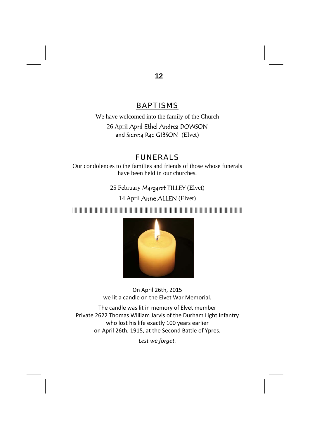## *BAPTISMS*

We have welcomed into the family of the Church 26 April April Ethel Andrea DOWSON and Sienna Rae GIBSON (Elvet)

## *FUNERALS*

Our condolences to the families and friends of those whose funerals have been held in our churches.

25 February Margaret TILLEY (Elvet)

#### 14 April Anne ALLEN (Elvet)

||||||||||||||||||||||||||||||||||||||||||||||||||||||||||||||||||||||||||||||||||||||||||||||||||||||||||||||||||||||||||||||||||||||||



On April 26th, 2015 we lit a candle on the Elvet War Memorial.

The candle was lit in memory of Elvet member Private 2622 Thomas William Jarvis of the Durham Light Infantry who lost his life exactly 100 years earlier on April 26th, 1915, at the Second Battle of Ypres.

*Lest we forget.*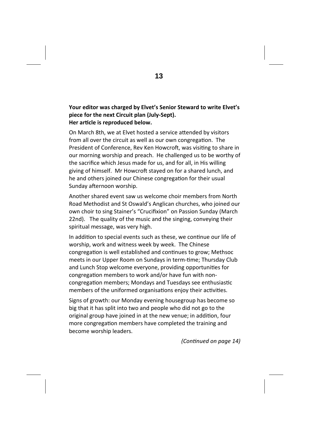#### **Your editor was charged by Elvet's Senior Steward to write Elvet's piece for the next Circuit plan (July‐Sept). Her arƟcle is reproduced below.**

On March 8th, we at Elvet hosted a service attended by visitors from all over the circuit as well as our own congregation. The President of Conference, Rev Ken Howcroft, was visiting to share in our morning worship and preach. He challenged us to be worthy of the sacrifice which Jesus made for us, and for all, in His willing giving of himself. Mr Howcroft stayed on for a shared lunch, and he and others joined our Chinese congregation for their usual Sunday afternoon worship.

Another shared event saw us welcome choir members from North Road Methodist and St Oswald's Anglican churches, who joined our own choir to sing Stainer's "Crucifixion" on Passion Sunday (March 22nd). The quality of the music and the singing, conveying their spiritual message, was very high.

In addition to special events such as these, we continue our life of worship, work and witness week by week. The Chinese congregation is well established and continues to grow: Methsoc meets in our Upper Room on Sundays in term-time; Thursday Club and Lunch Stop welcome everyone, providing opportunities for congregation members to work and/or have fun with noncongregation members; Mondays and Tuesdays see enthusiastic members of the uniformed organisations enjoy their activities.

Signs of growth: our Monday evening housegroup has become so big that it has split into two and people who did not go to the original group have joined in at the new venue; in addition, four more congregation members have completed the training and become worship leaders.

*(ConƟnued on page 14)*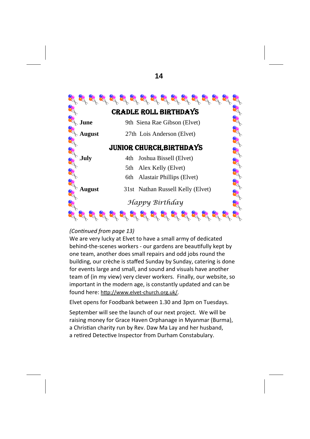

#### *(ConƟnued from page 13)*

We are very lucky at Elvet to have a small army of dedicated behind-the-scenes workers - our gardens are beautifully kept by one team, another does small repairs and odd jobs round the building, our crèche is staffed Sunday by Sunday, catering is done for events large and small, and sound and visuals have another team of (in my view) very clever workers. Finally, our website, so important in the modern age, is constantly updated and can be found here: http://www.elvet-church.org.uk/.

Elvet opens for Foodbank between 1.30 and 3pm on Tuesdays.

September will see the launch of our next project. We will be raising money for Grace Haven Orphanage in Myanmar (Burma), a Christian charity run by Rev. Daw Ma Lay and her husband, a retired Detective Inspector from Durham Constabulary.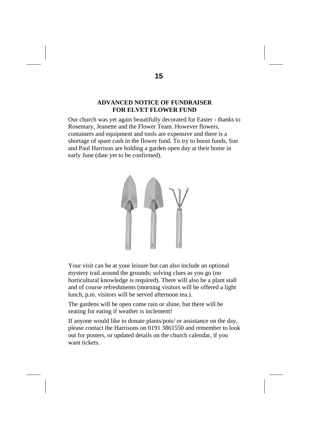#### **ADVANCED NOTICE OF FUNDRAISER FOR ELVET FLOWER FUND**

Our church was yet again beautifully decorated for Easter - thanks to Rosemary, Jeanette and the Flower Team. However flowers, containers and equipment and tools are expensive and there is a shortage of spare cash in the flower fund. To try to boost funds, Sue and Paul Harrison are holding a garden open day at their home in early June (date yet to be confirmed).



Your visit can be at your leisure but can also include an optional mystery trail around the grounds; solving clues as you go (no horticultural knowledge is required). There will also be a plant stall and of course refreshments (morning visitors will be offered a light lunch, p.m. visitors will be served afternoon tea.).

The gardens will be open come rain or shine, but there will be seating for eating if weather is inclement!

If anyone would like to donate plants/pots/ or assistance on the day, please contact the Harrisons on 0191 3861550 and remember to look out for posters, or updated details on the church calendar, if you want tickets.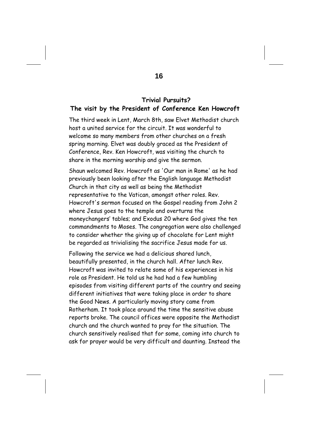#### **Trivial Pursuits? The visit by the President of Conference Ken Howcroft**

The third week in Lent, March 8th, saw Elvet Methodist church host a united service for the circuit. It was wonderful to welcome so many members from other churches on a fresh spring morning. Elvet was doubly graced as the President of Conference, Rev. Ken Howcroft, was visiting the church to share in the morning worship and give the sermon.

Shaun welcomed Rev. Howcroft as 'Our man in Rome' as he had previously been looking after the English language Methodist Church in that city as well as being the Methodist representative to the Vatican, amongst other roles. Rev. Howcroft's sermon focused on the Gospel reading from John 2 where Jesus goes to the temple and overturns the moneychangers' tables; and Exodus 20 where God gives the ten commandments to Moses. The congregation were also challenged to consider whether the giving up of chocolate for Lent might be regarded as trivialising the sacrifice Jesus made for us.

Following the service we had a delicious shared lunch, beautifully presented, in the church hall. After lunch Rev. Howcroft was invited to relate some of his experiences in his role as President. He told us he had had a few humbling episodes from visiting different parts of the country and seeing different initiatives that were taking place in order to share the Good News. A particularly moving story came from Rotherham. It took place around the time the sensitive abuse reports broke. The council offices were opposite the Methodist church and the church wanted to pray for the situation. The church sensitively realised that for some, coming into church to ask for prayer would be very difficult and daunting. Instead the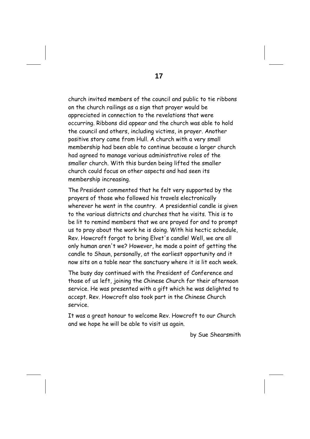church invited members of the council and public to tie ribbons on the church railings as a sign that prayer would be appreciated in connection to the revelations that were occurring. Ribbons did appear and the church was able to hold the council and others, including victims, in prayer. Another positive story came from Hull. A church with a very small membership had been able to continue because a larger church had agreed to manage various administrative roles of the smaller church. With this burden being lifted the smaller church could focus on other aspects and had seen its membership increasing.

The President commented that he felt very supported by the prayers of those who followed his travels electronically wherever he went in the country. A presidential candle is given to the various districts and churches that he visits. This is to be lit to remind members that we are prayed for and to prompt us to pray about the work he is doing. With his hectic schedule, Rev. Howcroft forgot to bring Elvet's candle! Well, we are all only human aren't we? However, he made a point of getting the candle to Shaun, personally, at the earliest opportunity and it now sits on a table near the sanctuary where it is lit each week.

The busy day continued with the President of Conference and those of us left, joining the Chinese Church for their afternoon service. He was presented with a gift which he was delighted to accept. Rev. Howcroft also took part in the Chinese Church service.

It was a great honour to welcome Rev. Howcroft to our Church and we hope he will be able to visit us again.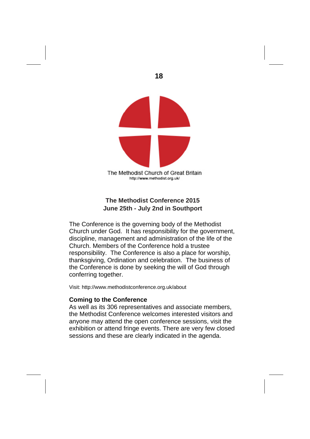

#### **The Methodist Conference 2015 June 25th - July 2nd in Southport**

The Conference is the governing body of the Methodist Church under God. It has responsibility for the government, discipline, management and administration of the life of the Church. Members of the Conference hold a trustee responsibility. The Conference is also a place for worship, thanksgiving, Ordination and celebration. The business of the Conference is done by seeking the will of God through conferring together.

Visit: http://www.methodistconference.org.uk/about

#### **Coming to the Conference**

As well as its 306 representatives and associate members, the Methodist Conference welcomes interested visitors and anyone may attend the open conference sessions, visit the exhibition or attend fringe events. There are very few closed sessions and these are clearly indicated in the agenda.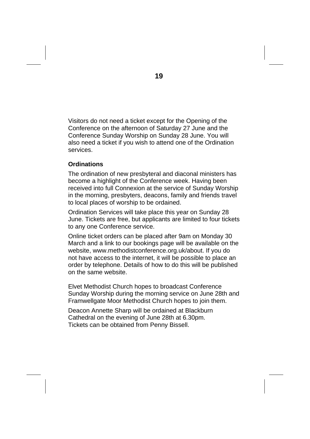Visitors do not need a ticket except for the Opening of the Conference on the afternoon of Saturday 27 June and the Conference Sunday Worship on Sunday 28 June. You will also need a ticket if you wish to attend one of the Ordination services.

#### **Ordinations**

The ordination of new presbyteral and diaconal ministers has become a highlight of the Conference week. Having been received into full Connexion at the service of Sunday Worship in the morning, presbyters, deacons, family and friends travel to local places of worship to be ordained.

Ordination Services will take place this year on Sunday 28 June. Tickets are free, but applicants are limited to four tickets to any one Conference service.

Online ticket orders can be placed after 9am on Monday 30 March and a link to our bookings page will be available on the website, www.methodistconference.org.uk/about. If you do not have access to the internet, it will be possible to place an order by telephone. Details of how to do this will be published on the same website.

Elvet Methodist Church hopes to broadcast Conference Sunday Worship during the morning service on June 28th and Framwellgate Moor Methodist Church hopes to join them.

Deacon Annette Sharp will be ordained at Blackburn Cathedral on the evening of June 28th at 6.30pm. Tickets can be obtained from Penny Bissell.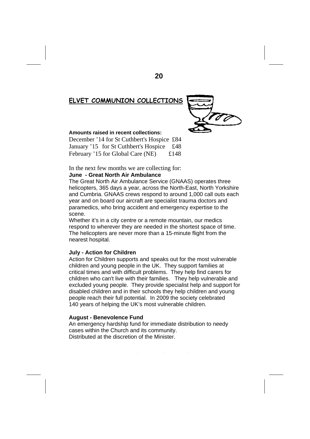#### **ELVET COMMUNION COLLECTIONS**



#### **Amounts raised in recent collections:**

December '14 for St Cuthbert's Hospice £84 January '15 for St Cuthbert's Hospice £48 February '15 for Global Care (NE) £148

In the next few months we are collecting for:

#### **June - Great North Air Ambulance**

SCONTAGE solution directly and forest destruction directly and forest destruction directly and forest destruction directly and forest destruction directly and forest destruction directly and forest destruction directly an The Great North Air Ambulance Service (GNAAS) operates three helicopters, 365 days a year, across the North-East, North Yorkshire and Cumbria. GNAAS crews respond to around 1,000 call outs each year and on board our aircraft are specialist trauma doctors and paramedics, who bring accident and emergency expertise to the scene.

whether it's in a city centre of a remote modifiant, our medics<br>respond to wherever they are needed in the shortest space of time. The helicopters are never more than a 15-minute flight from the nearest hospital. This year, we are taking place. This year, we are taking place. This year, we are the set of Whether it's in a city centre or a remote mountain, our medics

#### **July - Action for Children**

Jury - Action for Children<br>Action for Children supports and speaks out for the most vulnerable children and young people in the UK. They support families at critical times and with difficult problems. They help find carers for children who can't live with their families. They help vulnerable and excluded young people. They provide specialist help and support for disabled children and in their schools they help children and you<br>people reach their full potential. In 2009 the society celebrated people reach their rail petermal. In 2000 the society core<br>140 years of helping the UK's most vulnerable children. disabled children and in their schools they help children and young

#### www.mrdf.org.uk/pages/harvest\_service.php You can also order a free **August - Benevolence Fund**

An emergency hardship fund for immediate distribution to needy Distributed at the discretion of the Minister. cases within the Church and its community.

**NEW BRANCEPETH FLOWER FESTIVAL**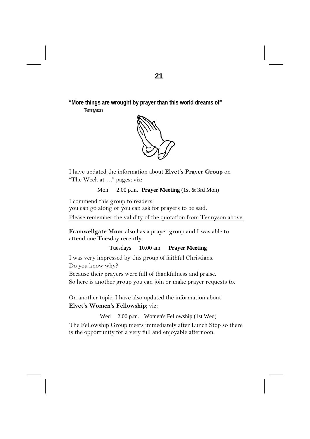**"More things are wrought by prayer than this world dreams of"** 

Tennyson



I have updated the information about **Elvet's Prayer Group** on "The Week at …" pages; viz:

Mon 2.00 p.m. **Prayer Meeting** (1st & 3rd Mon)

I commend this group to readers;

you can go along or you can ask for prayers to be said.

Please remember the validity of the quotation from Tennyson above.

**Framwellgate Moor** also has a prayer group and I was able to attend one Tuesday recently.

Tuesdays 10.00 am **Prayer Meeting** 

I was very impressed by this group of faithful Christians.

Do you know why?

Because their prayers were full of thankfulness and praise.

So here is another group you can join or make prayer requests to.

On another topic, I have also updated the information about **Elvet's Women's Fellowship**; viz:

Wed 2.00 p.m. Women's Fellowship (1st Wed)

The Fellowship Group meets immediately after Lunch Stop so there is the opportunity for a very full and enjoyable afternoon.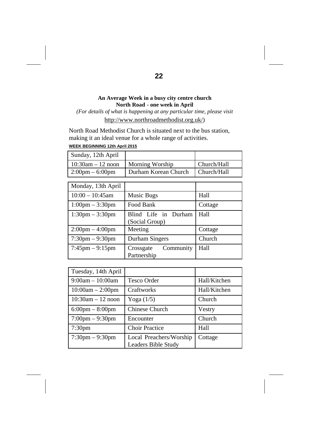#### **An Average Week in a busy city centre church North Road - one week in April**

*(For details of what is happening at any particular time, please visit*  http://www.northroadmethodist.org.uk/)

North Road Methodist Church is situated next to the bus station, making it an ideal venue for a whole range of activities.

#### **WEEK BEGINNING 12th April 2015**

| Sunday, 12th April                |                                    |             |
|-----------------------------------|------------------------------------|-------------|
| $10:30$ am $-12$ noon             | Morning Worship                    | Church/Hall |
| $2:00 \text{pm} - 6:00 \text{pm}$ | Durham Korean Church   Church/Hall |             |

| Monday, 13th April                |                                        |         |
|-----------------------------------|----------------------------------------|---------|
| $10:00 - 10:45$ am                | Music Bugs                             | Hall    |
| $1:00 \text{pm} - 3:30 \text{pm}$ | Food Bank                              | Cottage |
| $1:30 \text{pm} - 3:30 \text{pm}$ | Blind Life in Durham<br>(Social Group) | Hall    |
| $2:00 \text{pm} - 4:00 \text{pm}$ | Meeting                                | Cottage |
| $7:30 \text{pm} - 9:30 \text{pm}$ | Durham Singers                         | Church  |
| $7:45 \text{pm} - 9:15 \text{pm}$ | Community<br>Crossgate<br>Partnership  | Hall    |

| Tuesday, 14th April               |                                                       |              |
|-----------------------------------|-------------------------------------------------------|--------------|
| $9:00am - 10:00am$                | <b>Tesco Order</b>                                    | Hall/Kitchen |
| $10:00am - 2:00pm$                | Craftworks                                            | Hall/Kitchen |
| $10:30$ am $-12$ noon             | Yoga $(1/5)$                                          | Church       |
| $6:00 \text{pm} - 8:00 \text{pm}$ | <b>Chinese Church</b>                                 | Vestry       |
| $7:00 \text{pm} - 9:30 \text{pm}$ | Encounter                                             | Church       |
| 7:30 <sub>pm</sub>                | <b>Choir Practice</b>                                 | Hall         |
| $7:30 \text{pm} - 9:30 \text{pm}$ | Local Preachers/Worship<br><b>Leaders Bible Study</b> | Cottage      |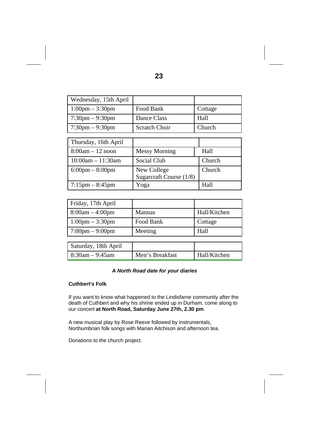| Wednesday, 15th April                                               |                         |         |
|---------------------------------------------------------------------|-------------------------|---------|
| $1:00 \text{pm} - 3:30 \text{pm}$<br>Food Bank                      |                         | Cottage |
| $7:30 \text{pm} - 9:30 \text{pm}$<br>Hall<br>Dance Class            |                         |         |
| $7:30 \text{pm} - 9:30 \text{pm}$<br><b>Scratch Choir</b><br>Church |                         |         |
|                                                                     |                         |         |
| Thursday, 16th April                                                |                         |         |
| $8:00am - 12$ noon                                                  | <b>Messy Morning</b>    | Hall    |
| $10:00am - 11:30am$                                                 | Social Club             | Church  |
| $6:00 \text{pm} - 8:00 \text{pm}$                                   | New College             | Church  |
|                                                                     | Sugarcraft Course (1/8) |         |
| $7:15 \text{pm} - 8:45 \text{pm}$                                   | Yoga                    | Hall    |

| Friday, 17th April                |               |              |
|-----------------------------------|---------------|--------------|
| $8:00am - 4:00pm$                 | <b>Mannas</b> | Hall/Kitchen |
| 1:00pm $-3:30$ pm                 | Food Bank     | Cottage      |
| $7:00 \text{pm} - 9:00 \text{pm}$ | Meeting       | Hall         |
|                                   |               |              |

| Saturday, 18th April |                 |              |
|----------------------|-----------------|--------------|
| $18:30$ am – 9:45am  | Men's Breakfast | Hall/Kitchen |

#### *A North Road date for your diaries*

#### **Cuthbert's Folk**

If you want to know what happened to the Lindisfarne community after the death of Cuthbert and why his shrine ended up in Durham, come along to our concert **at North Road, Saturday June 27th, 2.30 pm**.

A new musical play by Rose Reeve followed by instrumentals, Northumbrian folk songs with Marian Aitchison and afternoon tea.

Donations to the church project.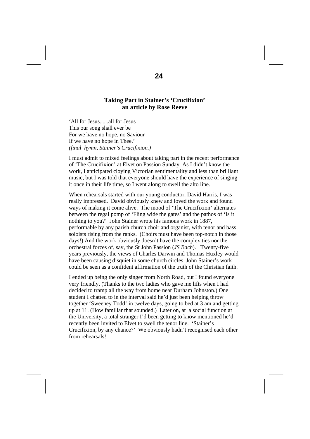#### **Taking Part in Stainer's 'Crucifixion' an article by Rose Reeve**

'All for Jesus......all for Jesus This our song shall ever be For we have no hope, no Saviour If we have no hope in Thee.' *(final hymn, Stainer's Crucifixion.)* 

I must admit to mixed feelings about taking part in the recent performance of 'The Crucifixion' at Elvet on Passion Sunday. As I didn't know the work, I anticipated cloying Victorian sentimentality and less than brilliant music, but I was told that everyone should have the experience of singing it once in their life time, so I went along to swell the alto line.

When rehearsals started with our young conductor, David Harris, I was really impressed. David obviously knew and loved the work and found ways of making it come alive. The mood of 'The Crucifixion' alternates between the regal pomp of 'Fling wide the gates' and the pathos of 'Is it nothing to you?' John Stainer wrote his famous work in 1887, performable by any parish church choir and organist, with tenor and bass soloists rising from the ranks. (Choirs must have been top-notch in those days!) And the work obviously doesn't have the complexities nor the orchestral forces of, say, the St John Passion (*JS Bach*). Twenty-five years previously, the views of Charles Darwin and Thomas Huxley would have been causing disquiet in some church circles. John Stainer's work could be seen as a confident affirmation of the truth of the Christian faith.

I ended up being the only singer from North Road, but I found everyone very friendly. (Thanks to the two ladies who gave me lifts when I had decided to tramp all the way from home near Durham Johnston.) One student I chatted to in the interval said he'd just been helping throw together 'Sweeney Todd' in twelve days, going to bed at 3 am and getting up at 11. (How familiar that sounded.) Later on, at a social function at the University, a total stranger I'd been getting to know mentioned he'd recently been invited to Elvet to swell the tenor line. 'Stainer's Crucifixion, by any chance?' We obviously hadn't recognised each other from rehearsals!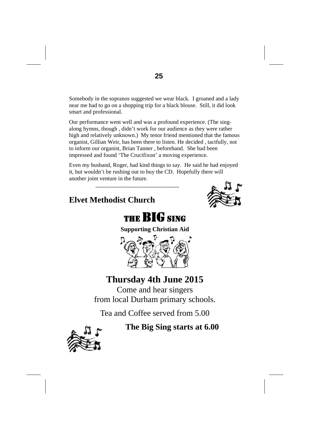Somebody in the sopranos suggested we wear black. I groaned and a lady near me had to go on a shopping trip for a black blouse. Still, it did look smart and professional.

Our performance went well and was a profound experience. (The singalong hymns, though , didn't work for our audience as they were rather high and relatively unknown.) My tenor friend mentioned that the famous organist, Gillian Weir, has been there to listen. He decided , tactfully, not to inform our organist, Brian Tanner , beforehand. She had been impressed and found 'The Crucifixon' a moving experience.

Even my husband, Roger, had kind things to say. He said he had enjoyed it, but wouldn't be rushing out to buy the CD. Hopefully there will another joint venture in the future.

~~~~~~~~~~~~~~~~~~~~~~~~~~

## **Elvet Methodist Church**





**Supporting Christian Aid** 



## **Thursday 4th June 2015**

Come and hear singers from local Durham primary schools.

Tea and Coffee served from 5.00

**The Big Sing starts at 6.00** 

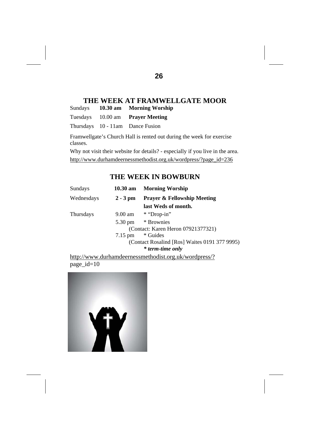## **THE WEEK AT FRAMWELLGATE MOOR**<br>avs 10.30 am Morning Worship

Sundays **10.30 am Morning Worship** 

Tuesdays 10.00 am **Prayer Meeting** 

Thursdays 10 - 11am Dance Fusion

Framwellgate's Church Hall is rented out during the week for exercise classes.

Why not visit their website for details? - especially if you live in the area. http://www.durhamdeernessmethodist.org.uk/wordpress/?page\_id=236

#### **THE WEEK IN BOWBURN**

| Sundays    | 10.30 am          | <b>Morning Worship</b>                        |
|------------|-------------------|-----------------------------------------------|
| Wednesdays | $2 - 3$ pm        | <b>Prayer &amp; Fellowship Meeting</b>        |
|            |                   | last Weds of month.                           |
| Thursdays  |                   | $9.00$ am $*$ "Drop-in"                       |
|            | $5.30 \text{ pm}$ | * Brownies                                    |
|            |                   | (Contact: Karen Heron 07921377321)            |
|            | $7.15$ pm         | * Guides                                      |
|            |                   | (Contact Rosalind [Ros] Waites 0191 377 9995) |
|            |                   | * term-time only                              |

http://www.durhamdeernessmethodist.org.uk/wordpress/? page  $id=10$ 

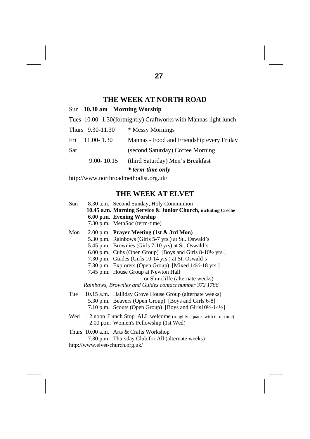#### **THE WEEK AT NORTH ROAD**

|     |                  | Sun 10.30 am Morning Worship                                    |
|-----|------------------|-----------------------------------------------------------------|
|     |                  | Tues 10.00-1.30(fortnightly) Craftworks with Mannas light lunch |
|     | Thurs 9.30-11.30 | * Messy Mornings                                                |
|     | Fri 11.00-1.30   | Mannas - Food and Friendship every Friday                       |
| Sat |                  | (second Saturday) Coffee Morning                                |
|     | $9.00 - 10.15$   | (third Saturday) Men's Breakfast                                |
|     |                  | <i>*</i> term-time only                                         |
|     |                  |                                                                 |

http://www.northroadmethodist.org.uk/

### **THE WEEK AT ELVET**

| Sun | 8.30 a.m. Second Sunday, Holy Communion<br>10.45 a.m. Morning Service & Junior Church, including Crèche<br>6.00 p.m. Evening Worship<br>7.30 p.m. MethSoc (term-time)                                                                                                                                                                                                                                                                                                |
|-----|----------------------------------------------------------------------------------------------------------------------------------------------------------------------------------------------------------------------------------------------------------------------------------------------------------------------------------------------------------------------------------------------------------------------------------------------------------------------|
| Mon | 2.00 p.m. Prayer Meeting (1st & 3rd Mon)<br>5.30 p.m. Rainbows (Girls 5-7 yrs.) at St. Oswald's<br>5.45 p.m. Brownies (Girls 7-10 yrs) at St. Oswald's<br>6.00 p.m. Cubs (Open Group) [Boys and Girls 8-10½ yrs.]<br>7.30 p.m. Guides (Girls 10-14 yrs.) at St. Oswald's<br>7.30 p.m. Explorers (Open Group) [Mixed 14½-18 yrs.]<br>7.45 p.m. House Group at Newton Hall<br>or Shincliffe (alternate weeks)<br>Rainbows, Brownies and Guides contact number 372 1786 |
|     | Tue 10.15 a.m. Halliday Grove House Group (alternate weeks)<br>5.30 p.m. Beavers (Open Group) [Boys and Girls 6-8]<br>7.10 p.m. Scouts (Open Group) [Boys and Girls $10\frac{1}{2}$ -14 $\frac{1}{2}$ ]                                                                                                                                                                                                                                                              |
|     | Wed 12 noon Lunch Stop ALL welcome (roughly equates with term-time)<br>2.00 p.m. Women's Fellowship (1st Wed)                                                                                                                                                                                                                                                                                                                                                        |
|     | Thurs $10.00$ a.m. Arts & Crafts Workshop<br>7.30 p.m. Thursday Club for All (alternate weeks)                                                                                                                                                                                                                                                                                                                                                                       |

http://www.elvet-church.org.uk/